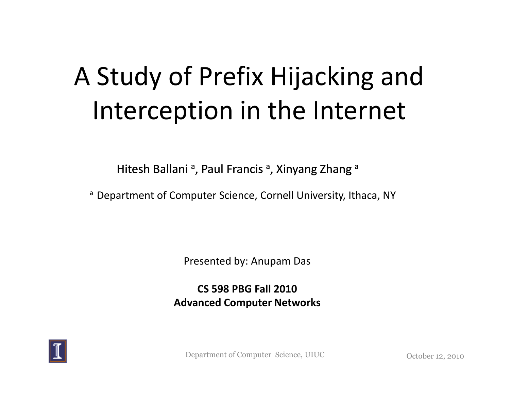## A Study of Prefix Hijacking and Interception in the Internet

Hitesh Ballani <sup>a</sup>, Paul Francis <sup>a</sup>, Xinyang Zhang <sup>a</sup>

a Department of Computer Science, Cornell University, Ithaca, NY

Presented by: Anupam Das

**CS 598 PBG Fall 2010Advanced Computer Networks**



Department of Computer Science, UIUC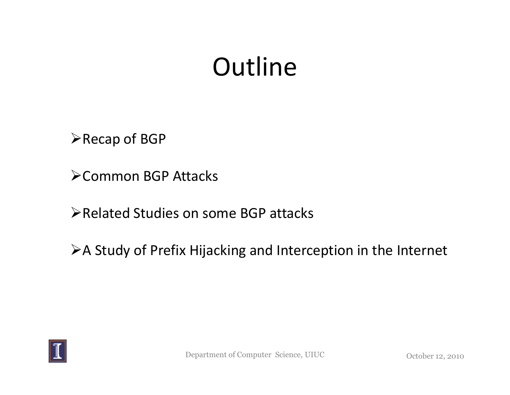### **Outline**

**≻Recap of BGP** 

Common BGP Attacks

**Example 3 Finds Studies on some BGP attacks** 

A Study of Prefix Hijacking and Interception in the Internet

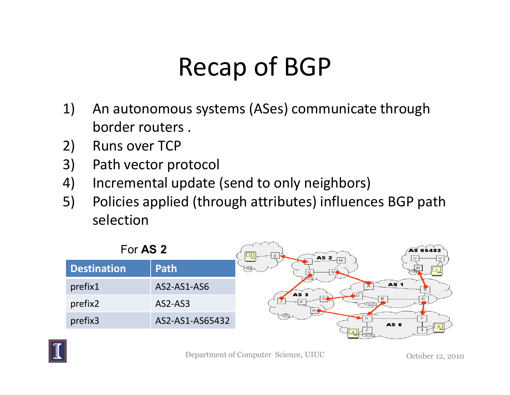## Recap of BGP

- 1) An autonomous systems (ASes) communicate through border routers .
- 
- 2) Runs over TCP<br>3) Path vector pre 3) Path vector protocol
- 4) Incremental update (send to only neighbors)
- 5) Policies applied (through attributes) influences BGP path selection



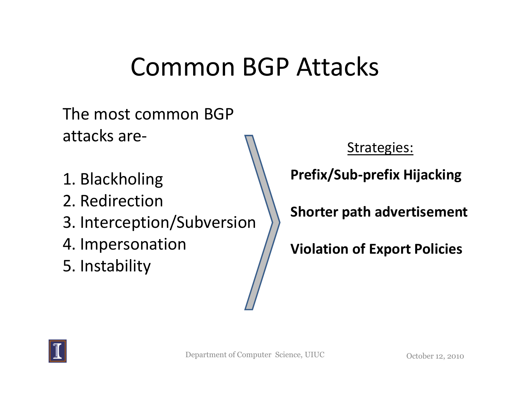#### Common BGP Attacks

The most common BGP attacks are-

- 1. Blackholing
- 2. Redirection
- 3. Interception/Subversion
- 4. Impersonation
- 5. Instability

#### Strategies:

**Prefix/Sub-prefix Hijacking**

**Shorter path advertisement**

**Violation of Export Policies**

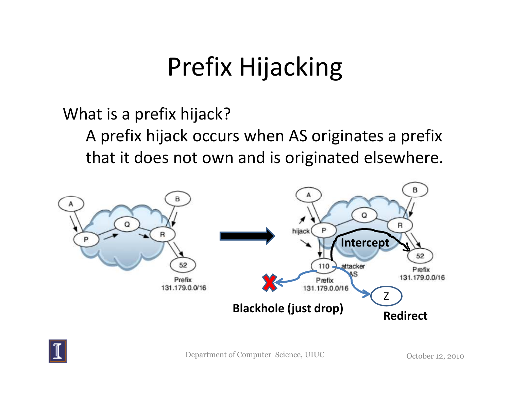## Prefix Hijacking

What is a prefix hijack?

 A prefix hijack occurs when AS originates a prefix that it does not own and is originated elsewhere.



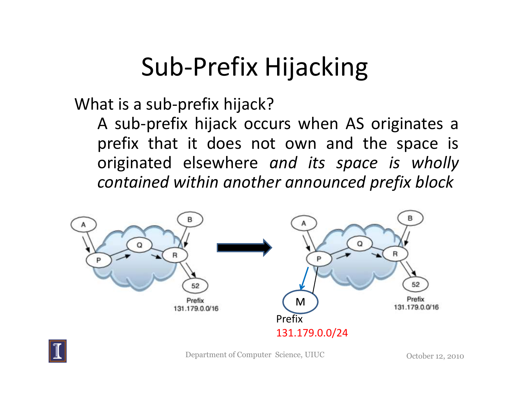## Sub-Prefix Hijacking

What is a sub-prefix hijack?

 <sup>A</sup> sub-prefix hijack occurs when AS originates <sup>a</sup> prefix that it does not own and the space is originated elsewhere *and its space is wholly contained within another announced prefix block*





Department of Computer Science, UIUC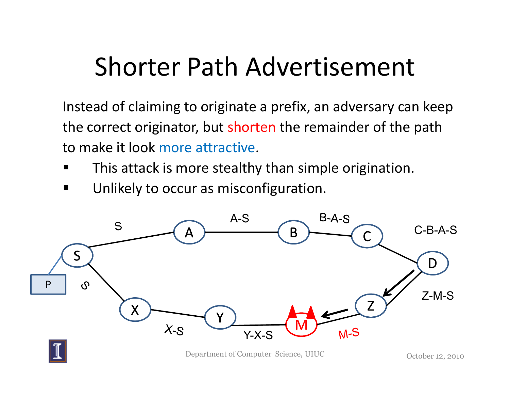#### Shorter Path Advertisement

Instead of claiming to originate a prefix, an adversary can keep the correct originator, but shorten the remainder of the path to make it look more attractive.

- $\blacksquare$ This attack is more stealthy than simple origination.
- $\blacksquare$ Unlikely to occur as misconfiguration.



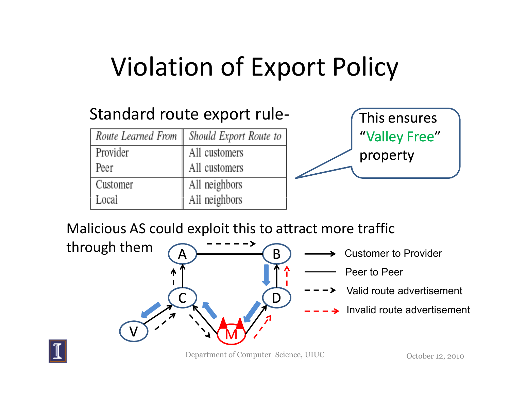## Violation of Export Policy

#### Standard route export rule-

| Route Learned From | Should Export Route to |
|--------------------|------------------------|
| Provider           | All customers          |
| Peer               | All customers          |
| Customer           | All neighbors          |
| Local              | All neighbors          |



Malicious AS could exploit this to attract more traffic



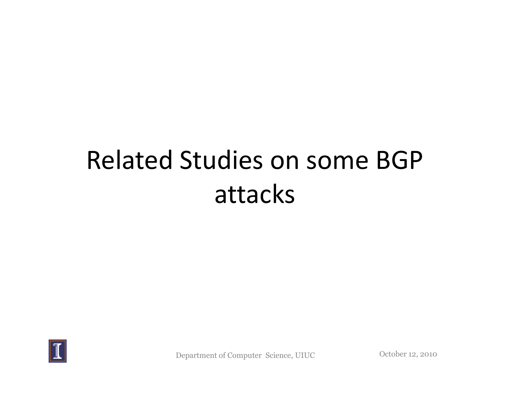## Related Studies on some BGP attacks



Department of Computer Science, UIUC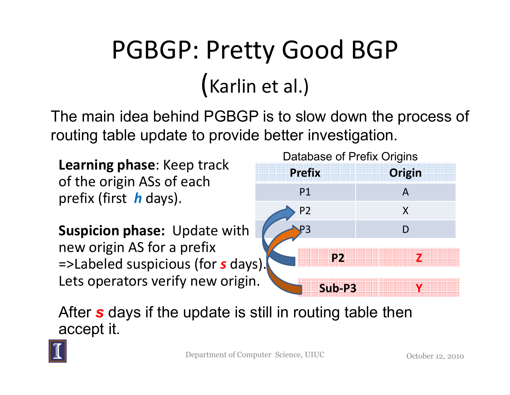# PGBGP: Pretty Good BGP(Karlin et al.)

The main idea behind PGBGP is to slow down the process of routing table update to provide better investigation.

**Learning phase**: Keep track of the origin ASs of each prefix (first *h* days).

**Suspicion phase:** Update with new origin AS for a prefix =>Labeled suspicious (for *s* days). Lets operators verify new origin

| Dalabase of Prelix Origins |        |
|----------------------------|--------|
| <b>Prefix</b>              | Origin |
| P <sub>1</sub>             |        |
| P <sub>2</sub>             | X      |
|                            |        |
| P <sub>2</sub><br>'S       |        |
| Sub-P3                     |        |

 $H$ abaaa of Drafiy Origins

After *s* days if the update is still in routing table then accept it.

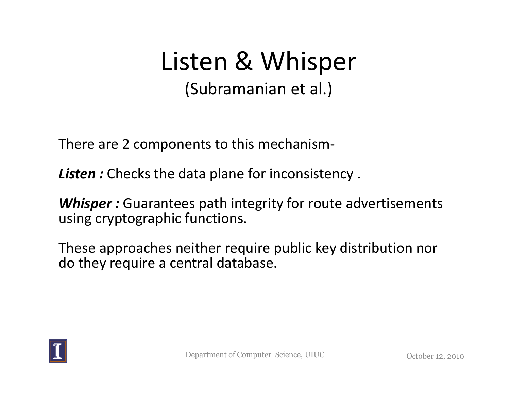#### Listen & Whisper(Subramanian et al.)

There are 2 components to this mechanism-

**Listen:** Checks the data plane for inconsistency.

*Whisper :* Guarantees path integrity for route advertisements using cryptographic functions.

These approaches neither require public key distribution nor do they require a central database.

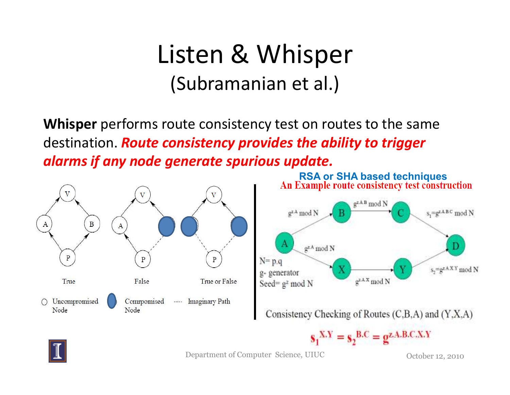#### Listen & Whisper(Subramanian et al.)

**Whisper** performs route consistency test on routes to the same destination. *Route consistency provides the ability to trigger alarms if any node generate spurious update.*





Consistency Checking of Routes (C,B,A) and (Y,X,A)





Department of Computer Science, UIUC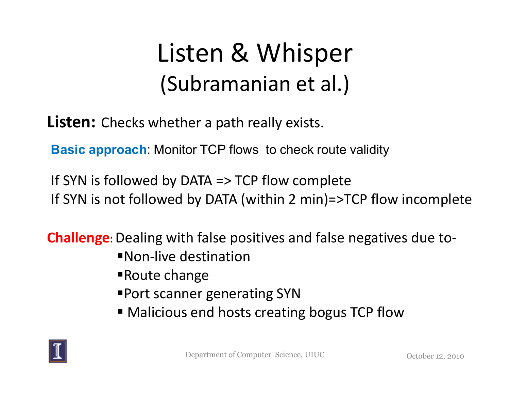### Listen & Whisper(Subramanian et al.)

**Listen:** Checks whether a path really exists.

**Basic approach**: Monitor TCP flows to check route validity

If SYN is followed by DATA => TCP flow completeIf SYN is not followed by DATA (within 2 min)=>TCP flow incomplete

**Challenge**: Dealing with false positives and false negatives due to-

- -Non-live destination
- -Route change
- -Port scanner generating SYN
- Malicious end hosts creating bogus TCP flow

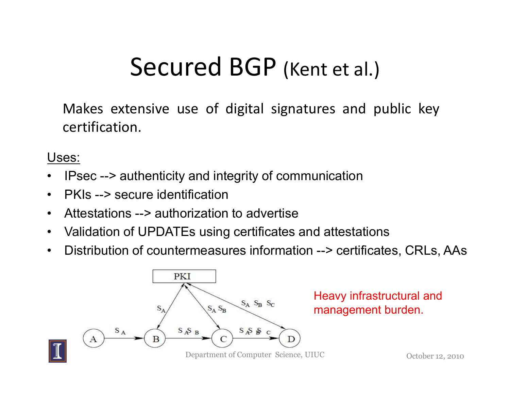#### Secured BGP (Kent et al.)

Makes extensive use of digital signatures and public key certification.

Uses:

- •IPsec --> authenticity and integrity of communication
- $\bullet$ PKIs --> secure identification
- Attestations --> authorization to advertise
- $\bullet$ Validation of UPDATEs using certificates and attestations
- •Distribution of countermeasures information --> certificates, CRLs, AAs



Heavy infrastructural and management burden.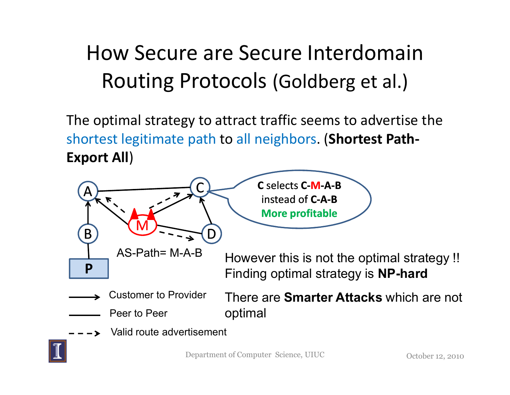#### How Secure are Secure Interdomain Routing Protocols (Goldberg et al.)

The optimal strategy to attract traffic seems to advertise the shortest legitimate path to all neighbors. (**Shortest Path-Export All**)

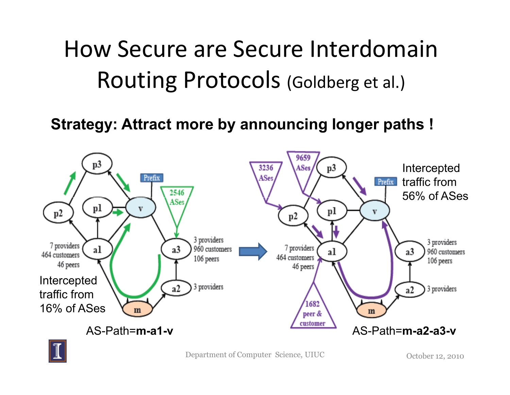#### How Secure are Secure Interdomain Routing Protocols (Goldberg et al.)

**Strategy: Attract more by announcing longer paths !**

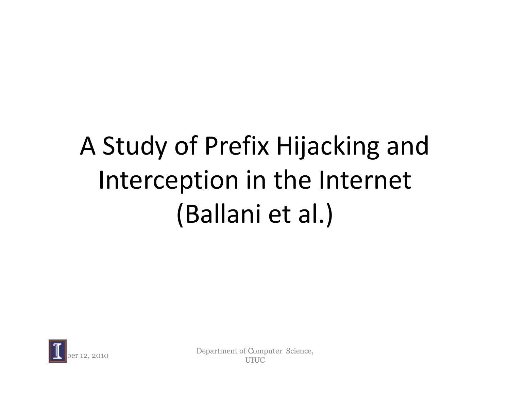# A Study of Prefix Hijacking and Interception in the Internet (Ballani et al.)



Department of Computer Science, UIUC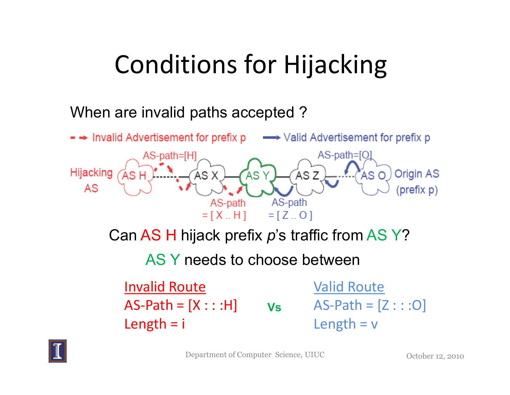## Conditions for Hijacking

#### When are invalid paths accepted ?

Length = i



Department of Computer Science, UIUC

October 12, 2010

Length  $= v$ 

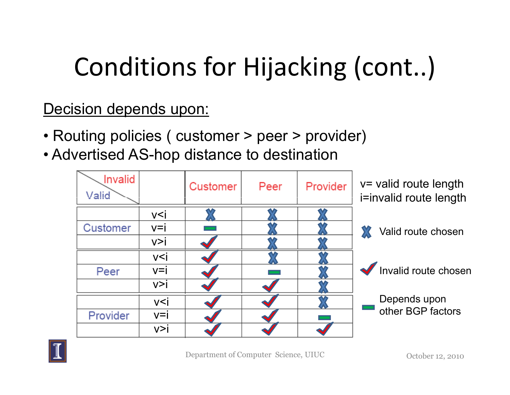# Conditions for Hijacking (cont..)

Decision depends upon:

- Routing policies ( customer > peer > provider)<br>. Advertised AC has distance to destination
- Advertised AS-hop distance to destination



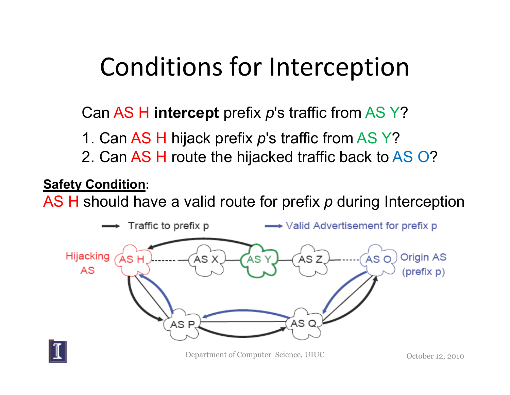### Conditions for Interception

Can AS H i<mark>ntercept</mark> prefix  $p$ 's traffic from AS Y?

- 1. Can AS H hijack prefix *p*'s traffic from AS Y?<br>?. Can AS H rauta the bijacked traffic hask to A
- 2. Can AS H route the hijacked traffic back to <mark>AS</mark> O?

#### **Safety Condition:**

AS H should have a valid route for prefix *p* during Interception

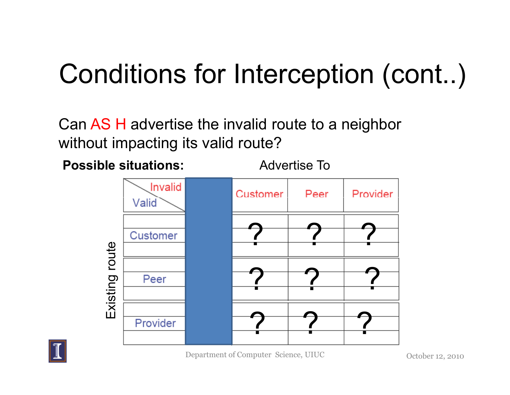## Conditions for Interception (cont..)

Can AS H advertise the invalid route to a neighbor without impacting its valid route?

**Possible situations:**

Advertise To



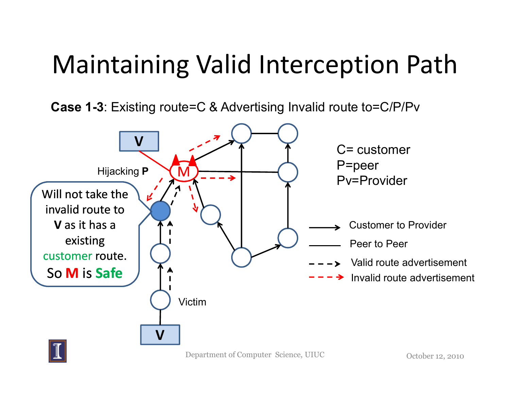### Maintaining Valid Interception Path

**Case 1-3**: Existing route=C & Advertising Invalid route to=C/P/Pv

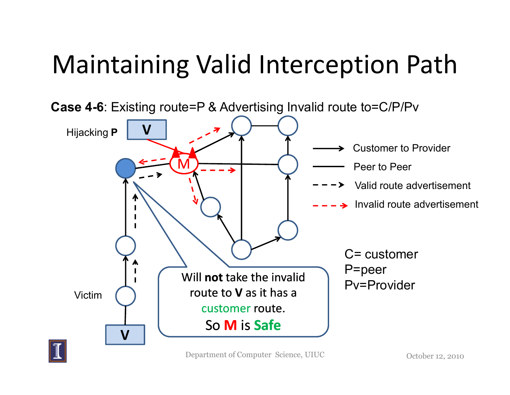## Maintaining Valid Interception Path



Department of Computer Science, UIUC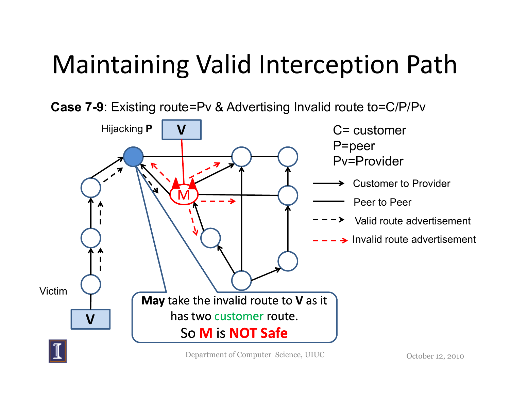## Maintaining Valid Interception Path

**Case 7-9**: Existing route=Pv & Advertising Invalid route to=C/P/Pv

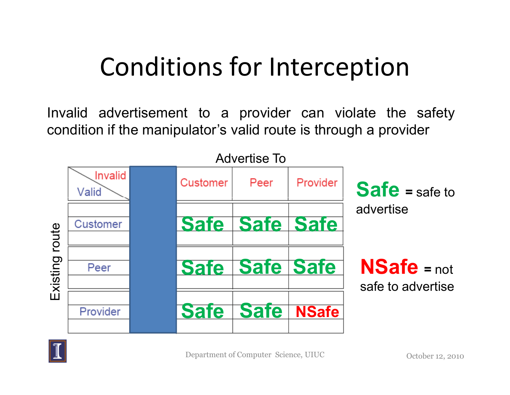### Conditions for Interception

Invalid advertisement to <sup>a</sup> provider can violate the safety condition if the manipulator's valid route is through <sup>a</sup> provider



![](_page_24_Picture_3.jpeg)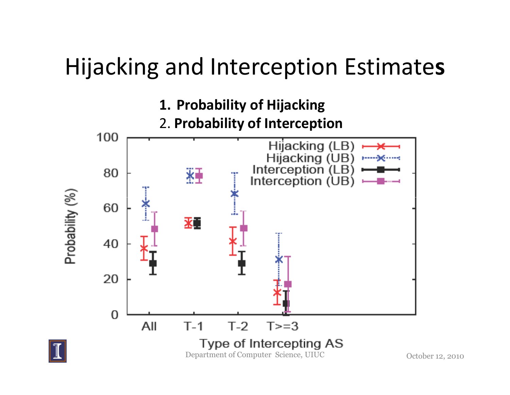#### Hijacking and Interception Estimate**s**

![](_page_25_Figure_1.jpeg)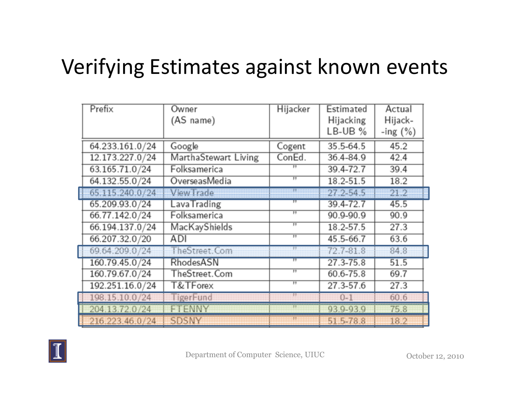#### Verifying Estimates against known events

| Prefix          | Owner                | Hijacker          | Estimated     | Actual      |  |
|-----------------|----------------------|-------------------|---------------|-------------|--|
|                 | (AS name)            |                   | Hijacking     | Hijack-     |  |
|                 |                      |                   | $LB-UB$ %     | -ing $(\%)$ |  |
| 64.233.161.0/24 | Google               | Cogent            | 35.5-64.5     | 45.2        |  |
| 12.173.227.0/24 | MarthaStewart Living | ConEd.            | 36.4-84.9     | 42.4        |  |
| 63.165.71.0/24  | Folksamerica         |                   | 39.4-72.7     | 39.4        |  |
| 64.132.55.0/24  | OverseasMedia        | π                 | $18.2 - 51.5$ | 18.2        |  |
| 65,115,240.0/24 | <b>View Trade</b>    | 99                | 27.2-54.5     | 21.2        |  |
| 65.209.93.0/24  | LavaTrading          | $^{\prime\prime}$ | 39.4-72.7     | 45.5        |  |
| 66.77.142.0/24  | Folksamerica         | $^{\dagger}$      | 90.9-90.9     | 90.9        |  |
| 66.194.137.0/24 | MacKayShields        | $^{\prime\prime}$ | 18.2-57.5     | 27.3        |  |
| 66.207.32.0/20  | ADI                  | $^{\prime\prime}$ | 45.5-66.7     | 63.6        |  |
| 69.64.209.0/24  | <b>TheStreet.Com</b> | m                 | 72.7-81.8     | 84.8        |  |
| 160.79.45.0/24  | RhodesASN            | $^{\prime\prime}$ | 27.3-75.8     | 51.5        |  |
| 160.79.67.0/24  | TheStreet.Com        | $^{\prime\prime}$ | 60.6-75.8     | 69.7        |  |
| 192.251.16.0/24 | T&TForex             | $^{\prime\prime}$ | 27.3-57.6     | 27.3        |  |
| 198.15.10.0/24  | <b>TigerFund</b>     | Ŧ                 | $0 - 1$       | 60.6        |  |
| 204.13.72.0/24  | ENN'                 | 77                | 93,9-93,9     | 75.8        |  |
| 216,223,46,0/24 | SDSNY                |                   | 51.5-78.8     | 18.2        |  |

![](_page_26_Picture_2.jpeg)